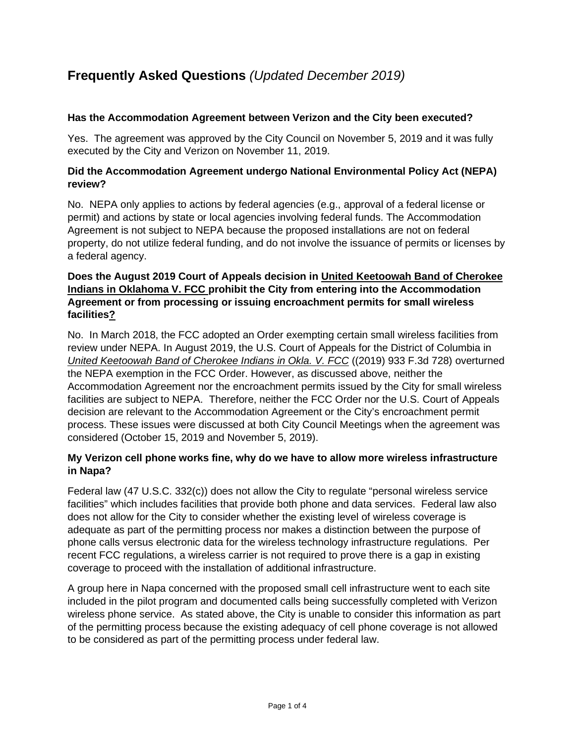# **Frequently Asked Questions** *(Updated December 2019)*

## **Has the Accommodation Agreement between Verizon and the City been executed?**

Yes. The agreement was approved by the City Council on November 5, 2019 and it was fully executed by the City and Verizon on November 11, 2019.

## **Did the Accommodation Agreement undergo National Environmental Policy Act (NEPA) review?**

No. NEPA only applies to actions by federal agencies (e.g., approval of a federal license or permit) and actions by state or local agencies involving federal funds. The Accommodation Agreement is not subject to NEPA because the proposed installations are not on federal property, do not utilize federal funding, and do not involve the issuance of permits or licenses by a federal agency.

## **Does the August 2019 Court of Appeals decision in United Keetoowah Band of Cherokee Indians in Oklahoma V. FCC prohibit the City from entering into the Accommodation Agreement or from processing or issuing encroachment permits for small wireless facilities?**

No. In March 2018, the FCC adopted an Order exempting certain small wireless facilities from review under NEPA. In August 2019, the U.S. Court of Appeals for the District of Columbia in *United Keetoowah Band of Cherokee Indians in Okla. V. FCC* ((2019) 933 F.3d 728) overturned the NEPA exemption in the FCC Order. However, as discussed above, neither the Accommodation Agreement nor the encroachment permits issued by the City for small wireless facilities are subject to NEPA. Therefore, neither the FCC Order nor the U.S. Court of Appeals decision are relevant to the Accommodation Agreement or the City's encroachment permit process. These issues were discussed at both City Council Meetings when the agreement was considered (October 15, 2019 and November 5, 2019).

## **My Verizon cell phone works fine, why do we have to allow more wireless infrastructure in Napa?**

Federal law (47 U.S.C. 332(c)) does not allow the City to regulate "personal wireless service facilities" which includes facilities that provide both phone and data services. Federal law also does not allow for the City to consider whether the existing level of wireless coverage is adequate as part of the permitting process nor makes a distinction between the purpose of phone calls versus electronic data for the wireless technology infrastructure regulations. Per recent FCC regulations, a wireless carrier is not required to prove there is a gap in existing coverage to proceed with the installation of additional infrastructure.

A group here in Napa concerned with the proposed small cell infrastructure went to each site included in the pilot program and documented calls being successfully completed with Verizon wireless phone service. As stated above, the City is unable to consider this information as part of the permitting process because the existing adequacy of cell phone coverage is not allowed to be considered as part of the permitting process under federal law.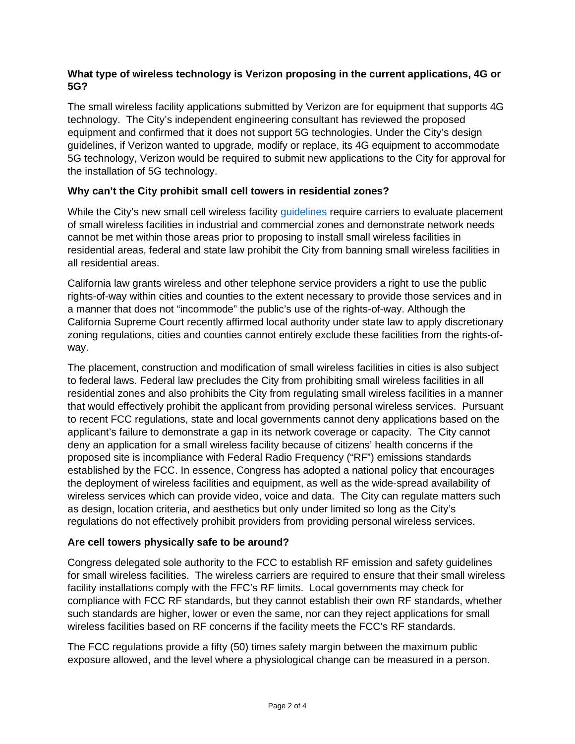## **What type of wireless technology is Verizon proposing in the current applications, 4G or 5G?**

The small wireless facility applications submitted by Verizon are for equipment that supports 4G technology. The City's independent engineering consultant has reviewed the proposed equipment and confirmed that it does not support 5G technologies. Under the City's design guidelines, if Verizon wanted to upgrade, modify or replace, its 4G equipment to accommodate 5G technology, Verizon would be required to submit new applications to the City for approval for the installation of 5G technology.

## **Why can't the City prohibit small cell towers in residential zones?**

While the City's new small cell wireless facility *quidelines* require carriers to evaluate placement of small wireless facilities in industrial and commercial zones and demonstrate network needs cannot be met within those areas prior to proposing to install small wireless facilities in residential areas, federal and state law prohibit the City from banning small wireless facilities in all residential areas.

California law grants wireless and other telephone service providers a right to use the public rights-of-way within cities and counties to the extent necessary to provide those services and in a manner that does not "incommode" the public's use of the rights-of-way. Although the California Supreme Court recently affirmed local authority under state law to apply discretionary zoning regulations, cities and counties cannot entirely exclude these facilities from the rights-ofway.

The placement, construction and modification of small wireless facilities in cities is also subject to federal laws. Federal law precludes the City from prohibiting small wireless facilities in all residential zones and also prohibits the City from regulating small wireless facilities in a manner that would effectively prohibit the applicant from providing personal wireless services. Pursuant to recent FCC regulations, state and local governments cannot deny applications based on the applicant's failure to demonstrate a gap in its network coverage or capacity. The City cannot deny an application for a small wireless facility because of citizens' health concerns if the proposed site is incompliance with Federal Radio Frequency ("RF") emissions standards established by the FCC. In essence, Congress has adopted a national policy that encourages the deployment of wireless facilities and equipment, as well as the wide-spread availability of wireless services which can provide video, voice and data. The City can regulate matters such as design, location criteria, and aesthetics but only under limited so long as the City's regulations do not effectively prohibit providers from providing personal wireless services.

## **Are cell towers physically safe to be around?**

Congress delegated sole authority to the FCC to establish RF emission and safety guidelines for small wireless facilities. The wireless carriers are required to ensure that their small wireless facility installations comply with the FFC's RF limits. Local governments may check for compliance with FCC RF standards, but they cannot establish their own RF standards, whether such standards are higher, lower or even the same, nor can they reject applications for small wireless facilities based on RF concerns if the facility meets the FCC's RF standards.

The FCC regulations provide a fifty (50) times safety margin between the maximum public exposure allowed, and the level where a physiological change can be measured in a person.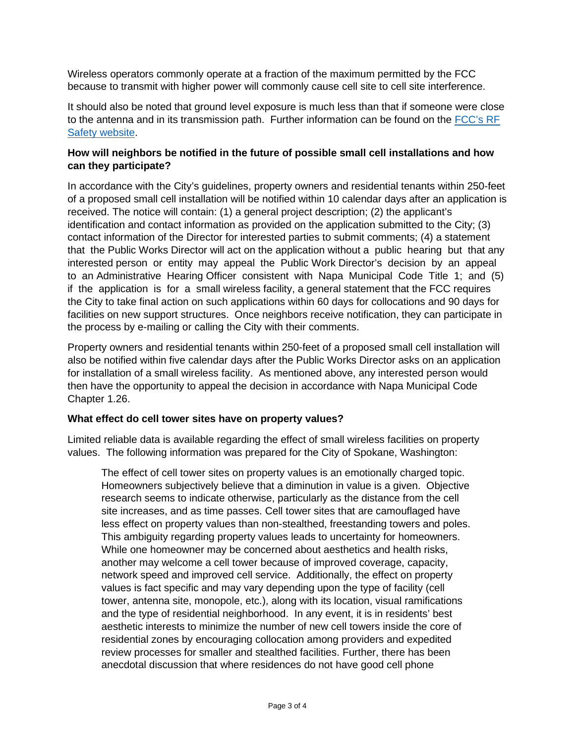Wireless operators commonly operate at a fraction of the maximum permitted by the FCC because to transmit with higher power will commonly cause cell site to cell site interference.

It should also be noted that ground level exposure is much less than that if someone were close to the antenna and in its transmission path. Further information can be found on the [FCC's RF](https://www.fcc.gov/general/radio-frequency-safety-0)  **[Safety website.](https://www.fcc.gov/general/radio-frequency-safety-0)** 

## **How will neighbors be notified in the future of possible small cell installations and how can they participate?**

In accordance with the City's guidelines, property owners and residential tenants within 250-feet of a proposed small cell installation will be notified within 10 calendar days after an application is received. The notice will contain: (1) a general project description; (2) the applicant's identification and contact information as provided on the application submitted to the City; (3) contact information of the Director for interested parties to submit comments; (4) a statement that the Public Works Director will act on the application without a public hearing but that any interested person or entity may appeal the Public Work Director's decision by an appeal to an Administrative Hearing Officer consistent with Napa Municipal Code Title 1; and (5) if the application is for a small wireless facility, a general statement that the FCC requires the City to take final action on such applications within 60 days for collocations and 90 days for facilities on new support structures. Once neighbors receive notification, they can participate in the process by e-mailing or calling the City with their comments.

Property owners and residential tenants within 250-feet of a proposed small cell installation will also be notified within five calendar days after the Public Works Director asks on an application for installation of a small wireless facility. As mentioned above, any interested person would then have the opportunity to appeal the decision in accordance with Napa Municipal Code Chapter 1.26.

## **What effect do cell tower sites have on property values?**

Limited reliable data is available regarding the effect of small wireless facilities on property values. The following information was prepared for the City of Spokane, Washington:

The effect of cell tower sites on property values is an emotionally charged topic. Homeowners subjectively believe that a diminution in value is a given. Objective research seems to indicate otherwise, particularly as the distance from the cell site increases, and as time passes. Cell tower sites that are camouflaged have less effect on property values than non-stealthed, freestanding towers and poles. This ambiguity regarding property values leads to uncertainty for homeowners. While one homeowner may be concerned about aesthetics and health risks, another may welcome a cell tower because of improved coverage, capacity, network speed and improved cell service. Additionally, the effect on property values is fact specific and may vary depending upon the type of facility (cell tower, antenna site, monopole, etc.), along with its location, visual ramifications and the type of residential neighborhood. In any event, it is in residents' best aesthetic interests to minimize the number of new cell towers inside the core of residential zones by encouraging collocation among providers and expedited review processes for smaller and stealthed facilities. Further, there has been anecdotal discussion that where residences do not have good cell phone